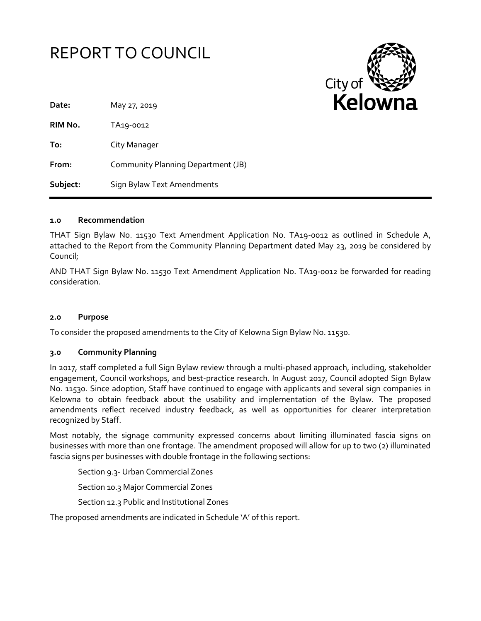



| Date:    | May 27, 2019                       |
|----------|------------------------------------|
| RIM No.  | TA <sub>19</sub> -0012             |
| To:      | City Manager                       |
| From:    | Community Planning Department (JB) |
| Subject: | Sign Bylaw Text Amendments         |

### **1.0 Recommendation**

THAT Sign Bylaw No. 11530 Text Amendment Application No. TA19-0012 as outlined in Schedule A, attached to the Report from the Community Planning Department dated May 23, 2019 be considered by Council;

AND THAT Sign Bylaw No. 11530 Text Amendment Application No. TA19-0012 be forwarded for reading consideration.

### **2.0 Purpose**

To consider the proposed amendments to the City of Kelowna Sign Bylaw No. 11530.

### **3.0 Community Planning**

In 2017, staff completed a full Sign Bylaw review through a multi-phased approach, including, stakeholder engagement, Council workshops, and best-practice research. In August 2017, Council adopted Sign Bylaw No. 11530. Since adoption, Staff have continued to engage with applicants and several sign companies in Kelowna to obtain feedback about the usability and implementation of the Bylaw. The proposed amendments reflect received industry feedback, as well as opportunities for clearer interpretation recognized by Staff.

Most notably, the signage community expressed concerns about limiting illuminated fascia signs on businesses with more than one frontage. The amendment proposed will allow for up to two (2) illuminated fascia signs per businesses with double frontage in the following sections:

Section 9.3- Urban Commercial Zones

Section 10.3 Major Commercial Zones

Section 12.3 Public and Institutional Zones

The proposed amendments are indicated in Schedule 'A' of this report.